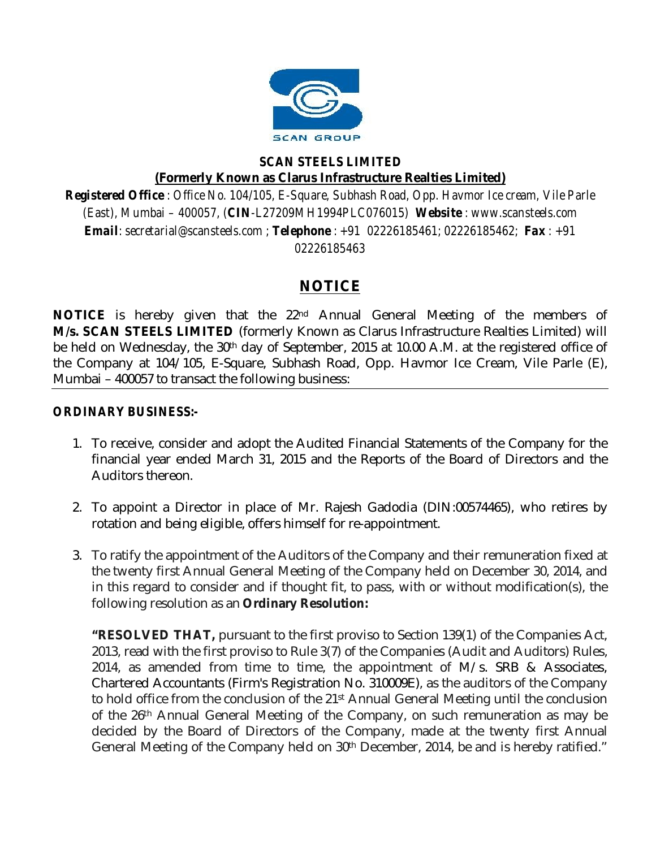

#### *SCAN STEELS LIMITED* **(Formerly Known as Clarus Infrastructure Realties Limited)**

*Registered Office : Office No. 104/105, E-Square, Subhash Road, Opp. Havmor Ice cream, Vile Parle (East), Mumbai – 400057, (CIN-L27209MH1994PLC076015) Website : [www.scansteels.com](http://www.scansteels.com) Email: [secretarial@scansteels.com](mailto:secretarial@scansteels.com) ; Telephone : +91 02226185461; 02226185462; Fax : +91 02226185463*

### **NOTICE**

**NOTICE** is hereby given that the 22<sup>nd</sup> Annual General Meeting of the members of **M/s. SCAN STEELS LIMITED** (formerly Known as Clarus Infrastructure Realties Limited) will be held on Wednesday, the 30th day of September, 2015 at 10.00 A.M. at the registered office of the Company at 104/105, E-Square, Subhash Road, Opp. Havmor Ice Cream, Vile Parle (E), Mumbai – 400057 to transact the following business:

#### *ORDINARY BUSINESS:-*

- 1. To receive, consider and adopt the Audited Financial Statements of the Company for the financial year ended March 31, 2015 and the Reports of the Board of Directors and the Auditors thereon.
- 2. To appoint a Director in place of Mr. Rajesh Gadodia (DIN:00574465), who retires by rotation and being eligible, offers himself for re-appointment.
- 3. To ratify the appointment of the Auditors of the Company and their remuneration fixed at the twenty first Annual General Meeting of the Company held on December 30, 2014, and in this regard to consider and if thought fit, to pass, with or without modification(s), the following resolution as an **Ordinary Resolution:**

**"RESOLVED THAT,** pursuant to the first proviso to Section 139(1) of the Companies Act, 2013, read with the first proviso to Rule 3(7) of the Companies (Audit and Auditors) Rules, 2014, as amended from time to time, the appointment of M/s. SRB & Associates, Chartered Accountants (Firm's Registration No. 310009E), as the auditors of the Company to hold office from the conclusion of the 21st Annual General Meeting until the conclusion of the 26<sup>th</sup> Annual General Meeting of the Company, on such remuneration as may be decided by the Board of Directors of the Company, made at the twenty first Annual General Meeting of the Company held on 30<sup>th</sup> December, 2014, be and is hereby ratified."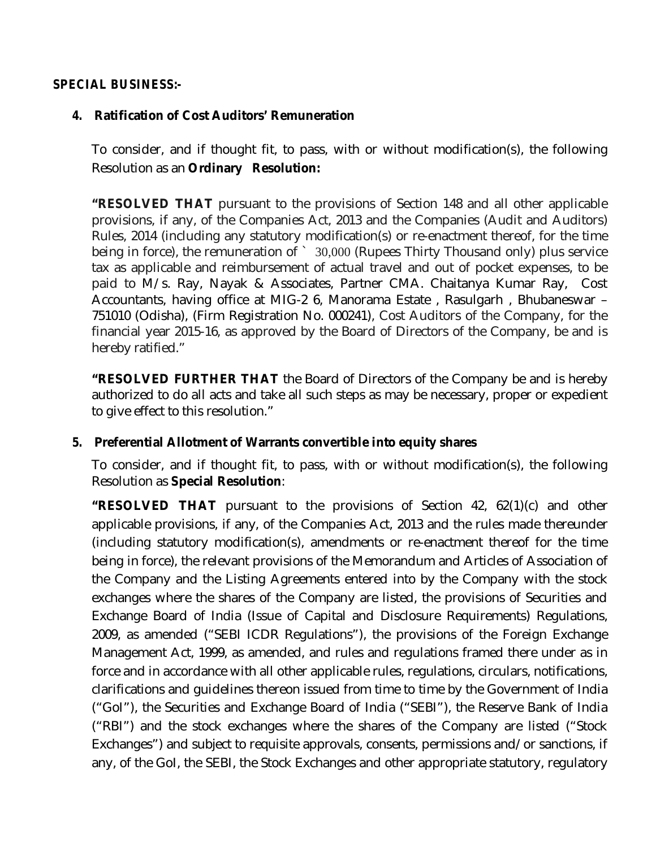#### *SPECIAL BUSINESS:-*

#### *4.* **Ratification of Cost Auditors' Remuneration**

To consider, and if thought fit, to pass, with or without modification(s), the following Resolution as an **Ordinary Resolution:**

**"RESOLVED THAT** pursuant to the provisions of Section 148 and all other applicable provisions, if any, of the Companies Act, 2013 and the Companies (Audit and Auditors) Rules, 2014 (including any statutory modification(s) or re-enactment thereof, for the time being in force), the remuneration of ` 30,000 (Rupees Thirty Thousand only) plus service tax as applicable and reimbursement of actual travel and out of pocket expenses, to be paid to M/s. Ray, Nayak & Associates, Partner CMA. Chaitanya Kumar Ray, Cost Accountants, having office at MIG-2 6, Manorama Estate , Rasulgarh , Bhubaneswar – 751010 (Odisha), (Firm Registration No. 000241), Cost Auditors of the Company, for the financial year 2015-16, as approved by the Board of Directors of the Company, be and is hereby ratified."

**"RESOLVED FURTHER THAT** the Board of Directors of the Company be and is hereby authorized to do all acts and take all such steps as may be necessary, proper or expedient to give effect to this resolution."

#### *5.* **Preferential Allotment of Warrants convertible into equity shares**

To consider, and if thought fit, to pass, with or without modification(s), the following Resolution as **Special Resolution**:

**"RESOLVED THAT** pursuant to the provisions of Section 42, 62(1)(c) and other applicable provisions, if any, of the Companies Act, 2013 and the rules made thereunder (including statutory modification(s), amendments or re-enactment thereof for the time being in force), the relevant provisions of the Memorandum and Articles of Association of the Company and the Listing Agreements entered into by the Company with the stock exchanges where the shares of the Company are listed, the provisions of Securities and Exchange Board of India (Issue of Capital and Disclosure Requirements) Regulations, 2009, as amended ("SEBI ICDR Regulations"), the provisions of the Foreign Exchange Management Act, 1999, as amended, and rules and regulations framed there under as in force and in accordance with all other applicable rules, regulations, circulars, notifications, clarifications and guidelines thereon issued from time to time by the Government of India ("GoI"), the Securities and Exchange Board of India ("SEBI"), the Reserve Bank of India ("RBI") and the stock exchanges where the shares of the Company are listed ("Stock Exchanges") and subject to requisite approvals, consents, permissions and/or sanctions, if any, of the GoI, the SEBI, the Stock Exchanges and other appropriate statutory, regulatory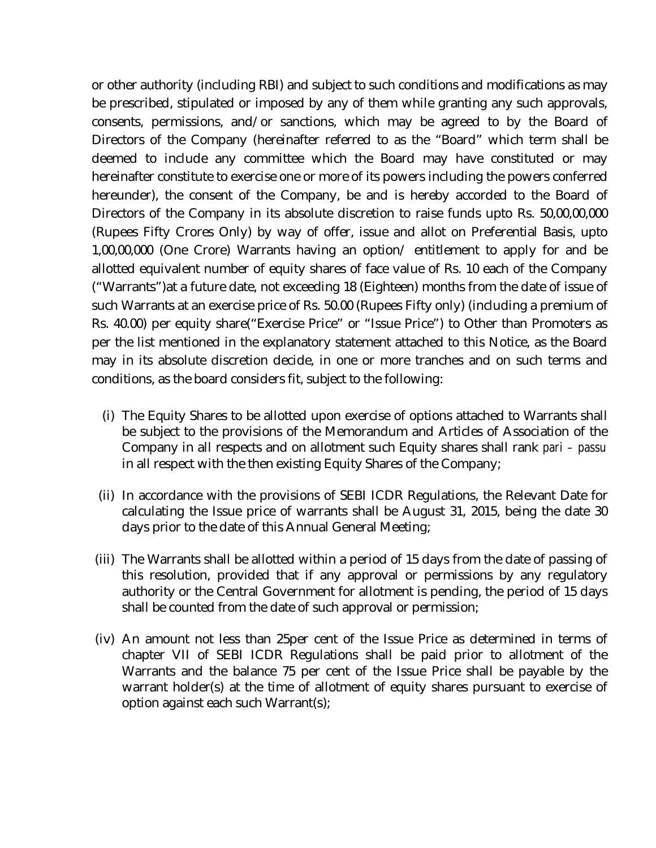or other authority (including RBI) and subject to such conditions and modifications as may be prescribed, stipulated or imposed by any of them while granting any such approvals, consents, permissions, and/or sanctions, which may be agreed to by the Board of Directors of the Company (hereinafter referred to as the "Board" which term shall be deemed to include any committee which the Board may have constituted or may hereinafter constitute to exercise one or more of its powers including the powers conferred hereunder), the consent of the Company, be and is hereby accorded to the Board of Directors of the Company in its absolute discretion to raise funds upto Rs. 50,00,00,000 (Rupees Fifty Crores Only) by way of offer, issue and allot on Preferential Basis, upto 1,00,00,000 (One Crore) Warrants having an option/ entitlement to apply for and be allotted equivalent number of equity shares of face value of Rs. 10 each of the Company ("Warrants")at a future date, not exceeding 18 (Eighteen) months from the date of issue of such Warrants at an exercise price of Rs. 50.00 (Rupees Fifty only) (including a premium of Rs. 40.00) per equity share("Exercise Price" or "Issue Price") to Other than Promoters as per the list mentioned in the explanatory statement attached to this Notice, as the Board may in its absolute discretion decide, in one or more tranches and on such terms and conditions, as the board considers fit, subject to the following:

- (i) The Equity Shares to be allotted upon exercise of options attached to Warrants shall be subject to the provisions of the Memorandum and Articles of Association of the Company in all respects and on allotment such Equity shares shall rank *pari – passu* in all respect with the then existing Equity Shares of the Company;
- (ii) In accordance with the provisions of SEBI ICDR Regulations, the Relevant Date for calculating the Issue price of warrants shall be August 31, 2015, being the date 30 days prior to the date of this Annual General Meeting;
- (iii) The Warrants shall be allotted within a period of 15 days from the date of passing of this resolution, provided that if any approval or permissions by any regulatory authority or the Central Government for allotment is pending, the period of 15 days shall be counted from the date of such approval or permission;
- (iv) An amount not less than 25per cent of the Issue Price as determined in terms of chapter VII of SEBI ICDR Regulations shall be paid prior to allotment of the Warrants and the balance 75 per cent of the Issue Price shall be payable by the warrant holder(s) at the time of allotment of equity shares pursuant to exercise of option against each such Warrant(s);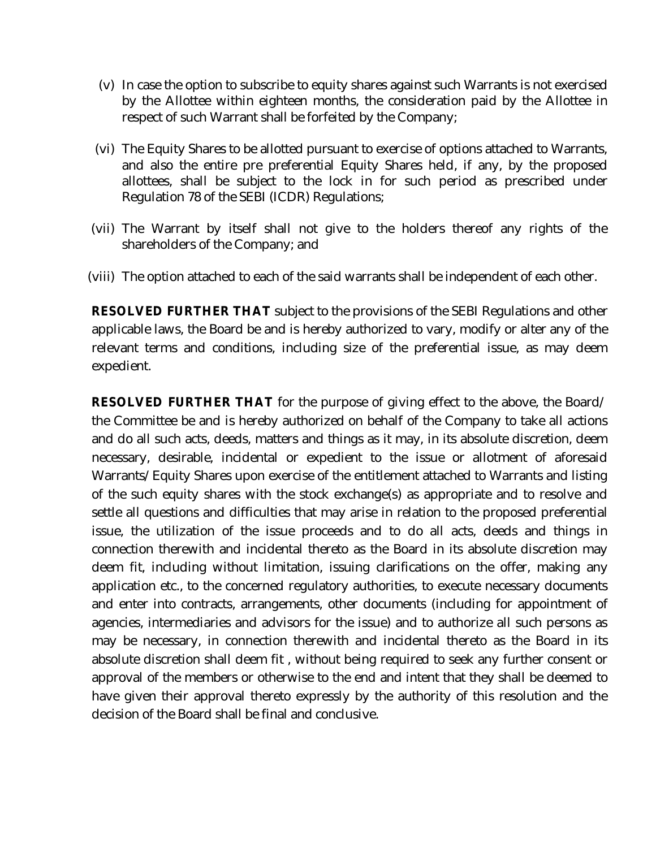- (v) In case the option to subscribe to equity shares against such Warrants is not exercised by the Allottee within eighteen months, the consideration paid by the Allottee in respect of such Warrant shall be forfeited by the Company;
- (vi) The Equity Shares to be allotted pursuant to exercise of options attached to Warrants, and also the entire pre preferential Equity Shares held, if any, by the proposed allottees, shall be subject to the lock in for such period as prescribed under Regulation 78 of the SEBI (ICDR) Regulations;
- (vii) The Warrant by itself shall not give to the holders thereof any rights of the shareholders of the Company; and
- (viii) The option attached to each of the said warrants shall be independent of each other.

**RESOLVED FURTHER THAT** subject to the provisions of the SEBI Regulations and other applicable laws, the Board be and is hereby authorized to vary, modify or alter any of the relevant terms and conditions, including size of the preferential issue, as may deem expedient.

**RESOLVED FURTHER THAT** for the purpose of giving effect to the above, the Board/ the Committee be and is hereby authorized on behalf of the Company to take all actions and do all such acts, deeds, matters and things as it may, in its absolute discretion, deem necessary, desirable, incidental or expedient to the issue or allotment of aforesaid Warrants/Equity Shares upon exercise of the entitlement attached to Warrants and listing of the such equity shares with the stock exchange(s) as appropriate and to resolve and settle all questions and difficulties that may arise in relation to the proposed preferential issue, the utilization of the issue proceeds and to do all acts, deeds and things in connection therewith and incidental thereto as the Board in its absolute discretion may deem fit, including without limitation, issuing clarifications on the offer, making any application etc., to the concerned regulatory authorities, to execute necessary documents and enter into contracts, arrangements, other documents (including for appointment of agencies, intermediaries and advisors for the issue) and to authorize all such persons as may be necessary, in connection therewith and incidental thereto as the Board in its absolute discretion shall deem fit , without being required to seek any further consent or approval of the members or otherwise to the end and intent that they shall be deemed to have given their approval thereto expressly by the authority of this resolution and the decision of the Board shall be final and conclusive.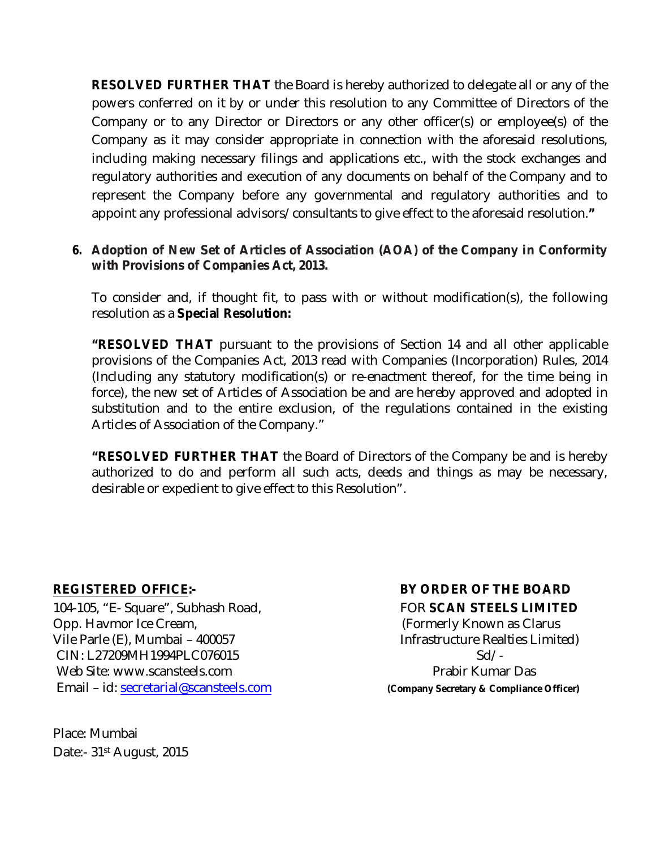**RESOLVED FURTHER THAT** the Board is hereby authorized to delegate all or any of the powers conferred on it by or under this resolution to any Committee of Directors of the Company or to any Director or Directors or any other officer(s) or employee(s) of the Company as it may consider appropriate in connection with the aforesaid resolutions, including making necessary filings and applications etc., with the stock exchanges and regulatory authorities and execution of any documents on behalf of the Company and to represent the Company before any governmental and regulatory authorities and to appoint any professional advisors/consultants to give effect to the aforesaid resolution.**"**

#### *6.* **Adoption of New Set of Articles of Association (AOA) of the Company in Conformity with Provisions of Companies Act, 2013.**

To consider and, if thought fit, to pass with or without modification(s), the following resolution as a **Special Resolution:**

**"RESOLVED THAT** pursuant to the provisions of Section 14 and all other applicable provisions of the Companies Act, 2013 read with Companies (Incorporation) Rules, 2014 (Including any statutory modification(s) or re-enactment thereof, for the time being in force), the new set of Articles of Association be and are hereby approved and adopted in substitution and to the entire exclusion, of the regulations contained in the existing Articles of Association of the Company."

**"RESOLVED FURTHER THAT** the Board of Directors of the Company be and is hereby authorized to do and perform all such acts, deeds and things as may be necessary, desirable or expedient to give effect to this Resolution".

104-105, "E- Square", Subhash Road, FOR **SCAN STEELS LIMITED** Opp. Havmor Ice Cream, The Community Known as Clarus Vile Parle (E), Mumbai – 400057 Infrastructure Realties Limited) CIN: L27209MH1994PLC076015 Sd/ Web Site: [www.scansteels.com](http://www.scansteels.com) example and prabir Kumar Das Email – id: [secretarial@scansteels.com](mailto:secretarial@scansteels.com) **(Company Secretary & Compliance Officer)**

Place: Mumbai Date:- 31<sup>st</sup> August, 2015

## **REGISTERED OFFICE:- BY ORDER OF THE BOARD**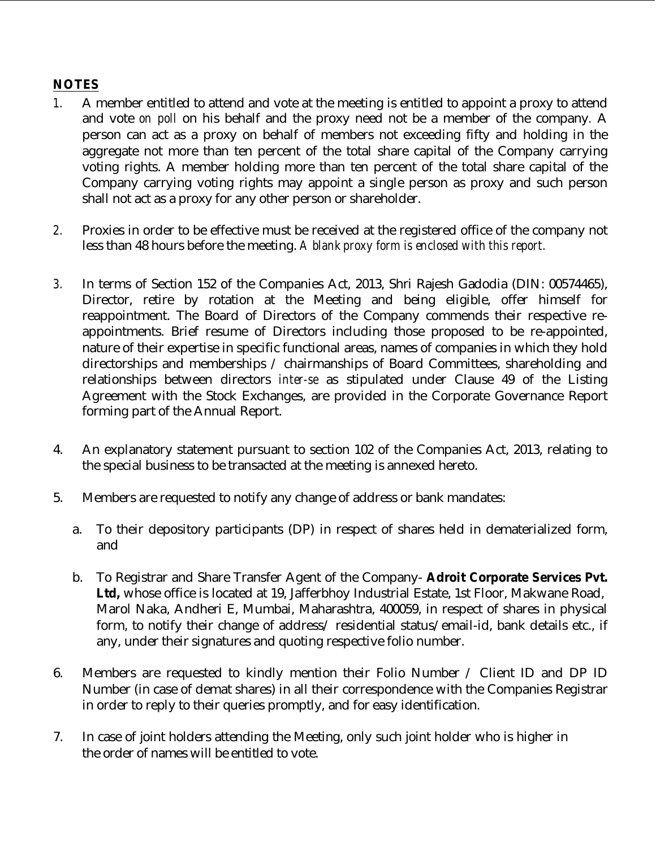#### **NOTES**

- *1.* A member entitled to attend and vote at the meeting is entitled to appoint a proxy to attend and vote *on poll* on his behalf and the proxy need not be a member of the company*.* A person can act as a proxy on behalf of members not exceeding fifty and holding in the aggregate not more than ten percent of the total share capital of the Company carrying voting rights. A member holding more than ten percent of the total share capital of the Company carrying voting rights may appoint a single person as proxy and such person shall not act as a proxy for any other person or shareholder.
- *2.* Proxies in order to be effective must be received at the registered office of the company not less than 48 hours before the meeting. *A blank proxy form is enclosed with this report.*
- *3.* In terms of Section 152 of the Companies Act, 2013, Shri Rajesh Gadodia (DIN: 00574465), Director, retire by rotation at the Meeting and being eligible, offer himself for reappointment. The Board of Directors of the Company commends their respective reappointments. Brief resume of Directors including those proposed to be re-appointed, nature of their expertise in specific functional areas, names of companies in which they hold directorships and memberships / chairmanships of Board Committees, shareholding and relationships between directors *inter-se* as stipulated under Clause 49 of the Listing Agreement with the Stock Exchanges, are provided in the Corporate Governance Report forming part of the Annual Report.
- 4. An explanatory statement pursuant to section 102 of the Companies Act, 2013, relating to the special business to be transacted at the meeting is annexed hereto.
- 5. Members are requested to notify any change of address or bank mandates:
	- a. To their depository participants (DP) in respect of shares held in dematerialized form, and
	- b. To Registrar and Share Transfer Agent of the Company- **Adroit Corporate Services Pvt. Ltd,** whose office is located at 19, Jafferbhoy Industrial Estate, 1st Floor, Makwane Road, Marol Naka, Andheri E, Mumbai, Maharashtra, 400059, in respect of shares in physical form, to notify their change of address/ residential status/email-id, bank details etc., if any, under their signatures and quoting respective folio number.
- 6. Members are requested to kindly mention their Folio Number / Client ID and DP ID Number (in case of demat shares) in all their correspondence with the Companies Registrar in order to reply to their queries promptly, and for easy identification.
- 7. In case of joint holders attending the Meeting, only such joint holder who is higher in the order of names will be entitled to vote.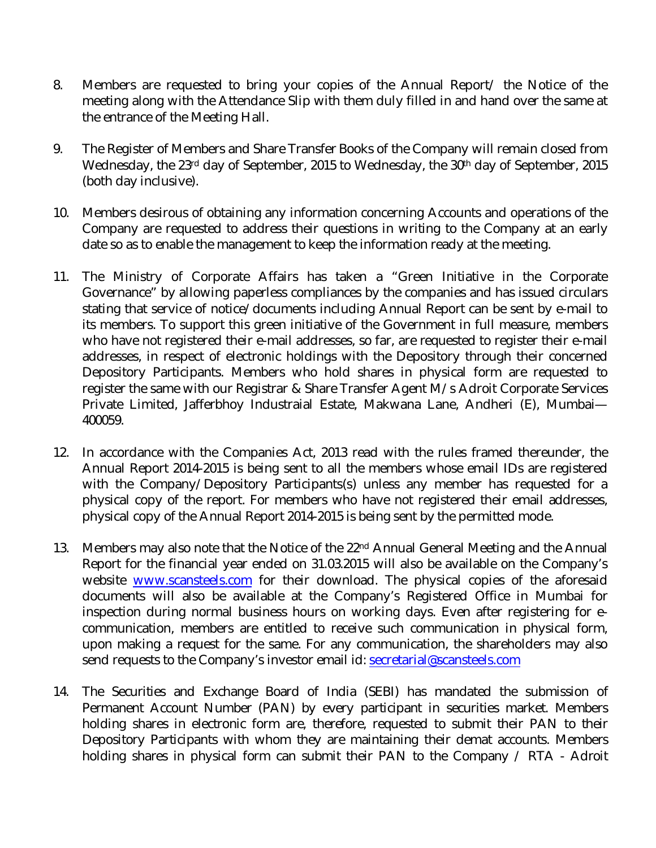- 8. Members are requested to bring your copies of the Annual Report/ the Notice of the meeting along with the Attendance Slip with them duly filled in and hand over the same at the entrance of the Meeting Hall.
- 9. The Register of Members and Share Transfer Books of the Company will remain closed from Wednesday, the 23rd day of September, 2015 to Wednesday, the 30<sup>th</sup> day of September, 2015 (both day inclusive).
- 10. Members desirous of obtaining any information concerning Accounts and operations of the Company are requested to address their questions in writing to the Company at an early date so as to enable the management to keep the information ready at the meeting.
- 11. The Ministry of Corporate Affairs has taken a "Green Initiative in the Corporate Governance" by allowing paperless compliances by the companies and has issued circulars stating that service of notice/documents including Annual Report can be sent by e-mail to its members. To support this green initiative of the Government in full measure, members who have not registered their e-mail addresses, so far, are requested to register their e-mail addresses, in respect of electronic holdings with the Depository through their concerned Depository Participants. Members who hold shares in physical form are requested to register the same with our Registrar & Share Transfer Agent M/s Adroit Corporate Services Private Limited, Jafferbhoy Industraial Estate, Makwana Lane, Andheri (E), Mumbai— 400059.
- 12. In accordance with the Companies Act, 2013 read with the rules framed thereunder, the Annual Report 2014-2015 is being sent to all the members whose email IDs are registered with the Company/Depository Participants(s) unless any member has requested for a physical copy of the report. For members who have not registered their email addresses, physical copy of the Annual Report 2014-2015 is being sent by the permitted mode.
- 13. Members may also note that the Notice of the 22<sup>nd</sup> Annual General Meeting and the Annual Report for the financial year ended on 31.03.2015 will also be available on the Company's website [www.scansteels.com](http://www.scansteels.com) for their download. The physical copies of the aforesaid documents will also be available at the Company's Registered Office in Mumbai for inspection during normal business hours on working days. Even after registering for ecommunication, members are entitled to receive such communication in physical form, upon making a request for the same. For any communication, the shareholders may also send requests to the Company's investor email id: [secretarial@scansteels.com](mailto:secretarial@scansteels.com)
- 14. The Securities and Exchange Board of India (SEBI) has mandated the submission of Permanent Account Number (PAN) by every participant in securities market. Members holding shares in electronic form are, therefore, requested to submit their PAN to their Depository Participants with whom they are maintaining their demat accounts. Members holding shares in physical form can submit their PAN to the Company / RTA - Adroit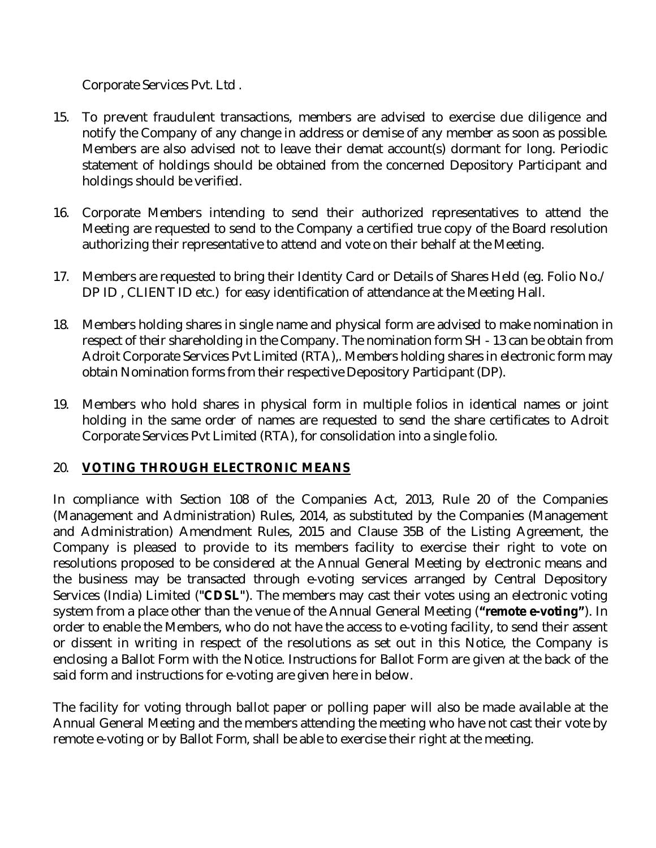Corporate Services Pvt. Ltd .

- 15. To prevent fraudulent transactions, members are advised to exercise due diligence and notify the Company of any change in address or demise of any member as soon as possible. Members are also advised not to leave their demat account(s) dormant for long. Periodic statement of holdings should be obtained from the concerned Depository Participant and holdings should be verified.
- 16. Corporate Members intending to send their authorized representatives to attend the Meeting are requested to send to the Company a certified true copy of the Board resolution authorizing their representative to attend and vote on their behalf at the Meeting.
- 17. Members are requested to bring their Identity Card or Details of Shares Held (eg. Folio No./ DP ID, CLIENT ID etc.) for easy identification of attendance at the Meeting Hall.
- 18. Members holding shares in single name and physical form are advised to make nomination in respect of their shareholding in the Company. The nomination form SH - 13 can be obtain from Adroit Corporate Services Pvt Limited (RTA),. Members holding shares in electronic form may obtain Nomination forms from their respective Depository Participant (DP).
- 19. Members who hold shares in physical form in multiple folios in identical names or joint holding in the same order of names are requested to send the share certificates to Adroit Corporate Services Pvt Limited (RTA), for consolidation into a single folio.

#### 20. **VOTING THROUGH ELECTRONIC MEANS**

In compliance with Section 108 of the Companies Act, 2013, Rule 20 of the Companies (Management and Administration) Rules, 2014, as substituted by the Companies (Management and Administration) Amendment Rules, 2015 and Clause 35B of the Listing Agreement, the Company is pleased to provide to its members facility to exercise their right to vote on resolutions proposed to be considered at the Annual General Meeting by electronic means and the business may be transacted through e-voting services arranged by Central Depository Services (India) Limited (**"CDSL"**). The members may cast their votes using an electronic voting system from a place other than the venue of the Annual General Meeting (**"remote e-voting"**). In order to enable the Members, who do not have the access to e-voting facility, to send their assent or dissent in writing in respect of the resolutions as set out in this Notice, the Company is enclosing a Ballot Form with the Notice. Instructions for Ballot Form are given at the back of the said form and instructions for e-voting are given here in below.

The facility for voting through ballot paper or polling paper will also be made available at the Annual General Meeting and the members attending the meeting who have not cast their vote by remote e-voting or by Ballot Form, shall be able to exercise their right at the meeting.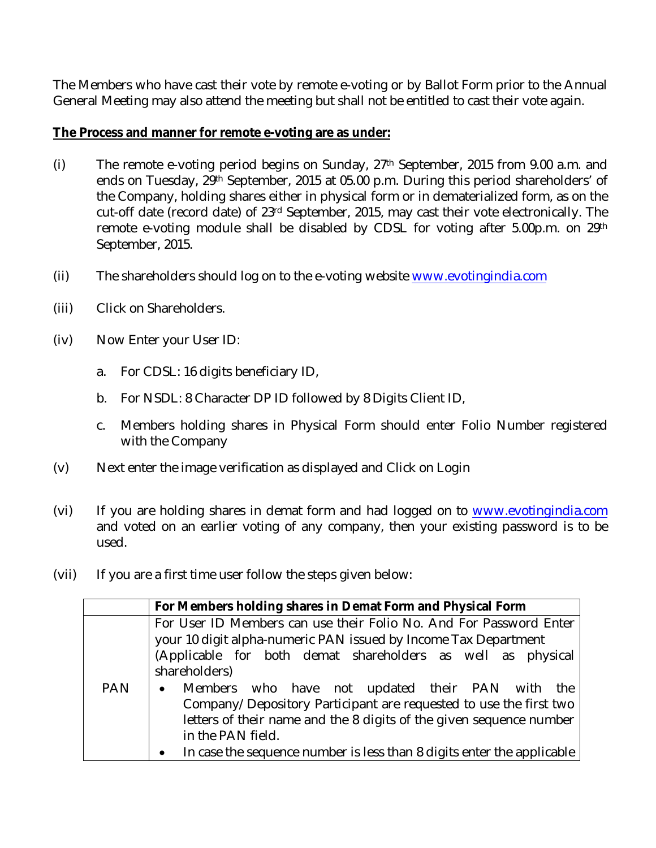The Members who have cast their vote by remote e-voting or by Ballot Form prior to the Annual General Meeting may also attend the meeting but shall not be entitled to cast their vote again.

#### **The Process and manner for remote e-voting are as under:**

- (i) The remote e-voting period begins on Sunday, 27<sup>th</sup> September, 2015 from 9.00 a.m. and ends on Tuesday, 29<sup>th</sup> September, 2015 at 05.00 p.m. During this period shareholders' of the Company, holding shares either in physical form or in dematerialized form, as on the cut-off date (record date) of 23<sup>rd</sup> September, 2015, may cast their vote electronically. The remote e-voting module shall be disabled by CDSL for voting after 5.00p.m. on 29th September, 2015.
- (ii) The shareholders should log on to the e-voting website [www.evotingindia.com](http://www.evotingindia.com)
- (iii) Click on Shareholders.
- (iv) Now Enter your User ID:
	- a. For CDSL: 16 digits beneficiary ID,
	- b. For NSDL: 8 Character DP ID followed by 8 Digits Client ID,
	- c. Members holding shares in Physical Form should enter Folio Number registered with the Company
- (v) Next enter the image verification as displayed and Click on Login
- (vi) If you are holding shares in demat form and had logged on to [www.evotingindia.com](http://www.evotingindia.com) and voted on an earlier voting of any company, then your existing password is to be used.
- (vii) If you are a first time user follow the steps given below:

|            | For Members holding shares in Demat Form and Physical Form                                                                                                                                                                                                                                                                                                                                                                                                                                                                                    |  |  |  |  |  |  |
|------------|-----------------------------------------------------------------------------------------------------------------------------------------------------------------------------------------------------------------------------------------------------------------------------------------------------------------------------------------------------------------------------------------------------------------------------------------------------------------------------------------------------------------------------------------------|--|--|--|--|--|--|
| <b>PAN</b> | For User ID Members can use their Folio No. And For Password Enter<br>your 10 digit alpha-numeric PAN issued by Income Tax Department<br>(Applicable for both demat shareholders as well as physical<br>shareholders)<br>Members who have not updated their PAN with the<br>$\bullet$<br>Company/Depository Participant are requested to use the first two<br>letters of their name and the 8 digits of the given sequence number<br>in the PAN field.<br>In case the sequence number is less than 8 digits enter the applicable<br>$\bullet$ |  |  |  |  |  |  |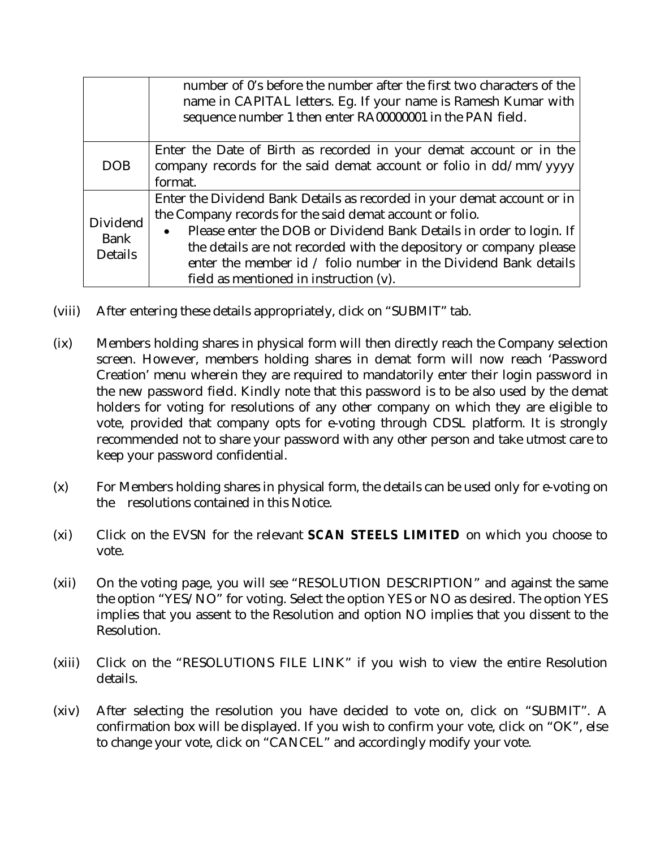|                                           | number of 0's before the number after the first two characters of the<br>name in CAPITAL letters. Eg. If your name is Ramesh Kumar with<br>sequence number 1 then enter RA00000001 in the PAN field.                                                                                                                                                                                                       |  |  |  |  |  |  |
|-------------------------------------------|------------------------------------------------------------------------------------------------------------------------------------------------------------------------------------------------------------------------------------------------------------------------------------------------------------------------------------------------------------------------------------------------------------|--|--|--|--|--|--|
| <b>DOB</b>                                | Enter the Date of Birth as recorded in your demat account or in the<br>company records for the said demat account or folio in dd/mm/yyyy<br>format.                                                                                                                                                                                                                                                        |  |  |  |  |  |  |
| Dividend<br><b>Bank</b><br><b>Details</b> | Enter the Dividend Bank Details as recorded in your demat account or in<br>the Company records for the said demat account or folio.<br>Please enter the DOB or Dividend Bank Details in order to login. If<br>$\bullet$<br>the details are not recorded with the depository or company please<br>enter the member id / folio number in the Dividend Bank details<br>field as mentioned in instruction (v). |  |  |  |  |  |  |

- (viii) After entering these details appropriately, click on "SUBMIT" tab.
- (ix) Members holding shares in physical form will then directly reach the Company selection screen. However, members holding shares in demat form will now reach 'Password Creation' menu wherein they are required to mandatorily enter their login password in the new password field. Kindly note that this password is to be also used by the demat holders for voting for resolutions of any other company on which they are eligible to vote, provided that company opts for e-voting through CDSL platform. It is strongly recommended not to share your password with any other person and take utmost care to keep your password confidential.
- (x) For Members holding shares in physical form, the details can be used only for e-voting on the resolutions contained in this Notice.
- (xi) Click on the EVSN for the relevant **SCAN STEELS LIMITED** on which you choose to vote.
- (xii) On the voting page, you will see "RESOLUTION DESCRIPTION" and against the same the option "YES/NO" for voting. Select the option YES or NO as desired. The option YES implies that you assent to the Resolution and option NO implies that you dissent to the Resolution.
- (xiii) Click on the "RESOLUTIONS FILE LINK" if you wish to view the entire Resolution details.
- (xiv) After selecting the resolution you have decided to vote on, click on "SUBMIT". A confirmation box will be displayed. If you wish to confirm your vote, click on "OK", else to change your vote, click on "CANCEL" and accordingly modify your vote.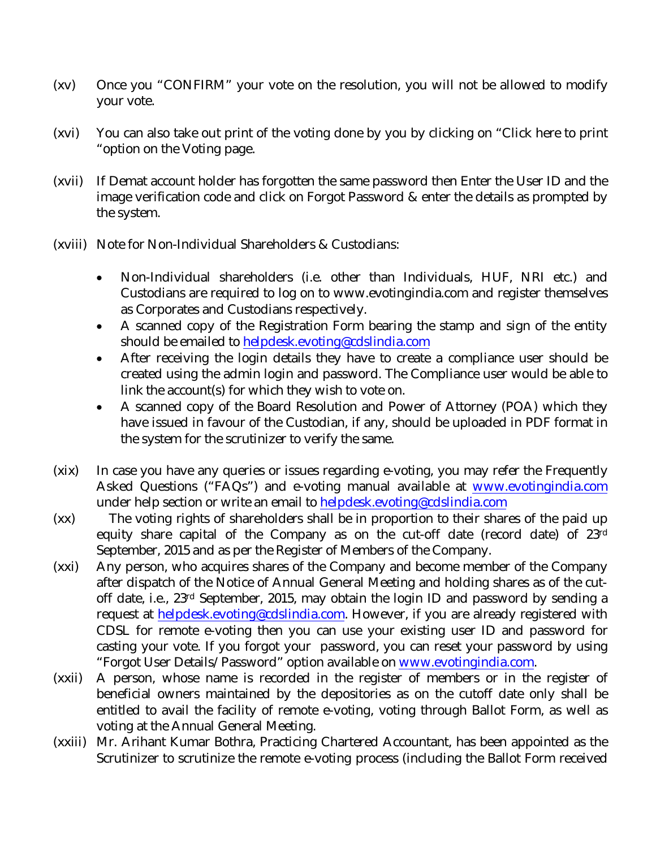- (xv) Once you "CONFIRM" your vote on the resolution, you will not be allowed to modify your vote.
- (xvi) You can also take out print of the voting done by you by clicking on "Click here to print "option on the Voting page.
- (xvii) If Demat account holder has forgotten the same password then Enter the User ID and the image verification code and click on Forgot Password & enter the details as prompted by the system.
- (xviii) Note for Non-Individual Shareholders & Custodians:
	- Non-Individual shareholders (i.e. other than Individuals, HUF, NRI etc.) and Custodians are required to log on to [www.evotingindia.com](http://www.evotingindia.com) and register themselves as Corporates and Custodians respectively.
	- A scanned copy of the Registration Form bearing the stamp and sign of the entity should be emailed to [helpdesk.evoting@cdslindia.com](mailto:helpdesk.evoting@cdslindia.com)
	- After receiving the login details they have to create a compliance user should be created using the admin login and password. The Compliance user would be able to link the account(s) for which they wish to vote on.
	- A scanned copy of the Board Resolution and Power of Attorney (POA) which they have issued in favour of the Custodian, if any, should be uploaded in PDF format in the system for the scrutinizer to verify the same.
- (xix) In case you have any queries or issues regarding e-voting, you may refer the Frequently Asked Questions ("FAQs") and e-voting manual available at [www.evotingindia.com](http://www.evotingindia.com) under help section or write an email to [helpdesk.evoting@cdslindia.com](mailto:helpdesk.evoting@cdslindia.com)
- (xx) The voting rights of shareholders shall be in proportion to their shares of the paid up equity share capital of the Company as on the cut-off date (record date) of 23 rd September, 2015 and as per the Register of Members of the Company.
- (xxi) Any person, who acquires shares of the Company and become member of the Company after dispatch of the Notice of Annual General Meeting and holding shares as of the cutoff date, i.e., 23rd September, 2015, may obtain the login ID and password by sending a request at [helpdesk.evoting@cdslindia.com.](mailto:helpdesk.evoting@cdslindia.com.) However, if you are already registered with CDSL for remote e-voting then you can use your existing user ID and password for casting your vote. If you forgot your password, you can reset your password by using "Forgot User Details/Password" option available on [www.evotingindia.com.](http://www.evotingindia.com.)
- (xxii) A person, whose name is recorded in the register of members or in the register of beneficial owners maintained by the depositories as on the cutoff date only shall be entitled to avail the facility of remote e-voting, voting through Ballot Form, as well as voting at the Annual General Meeting.
- (xxiii) Mr. Arihant Kumar Bothra, Practicing Chartered Accountant, has been appointed as the Scrutinizer to scrutinize the remote e-voting process (including the Ballot Form received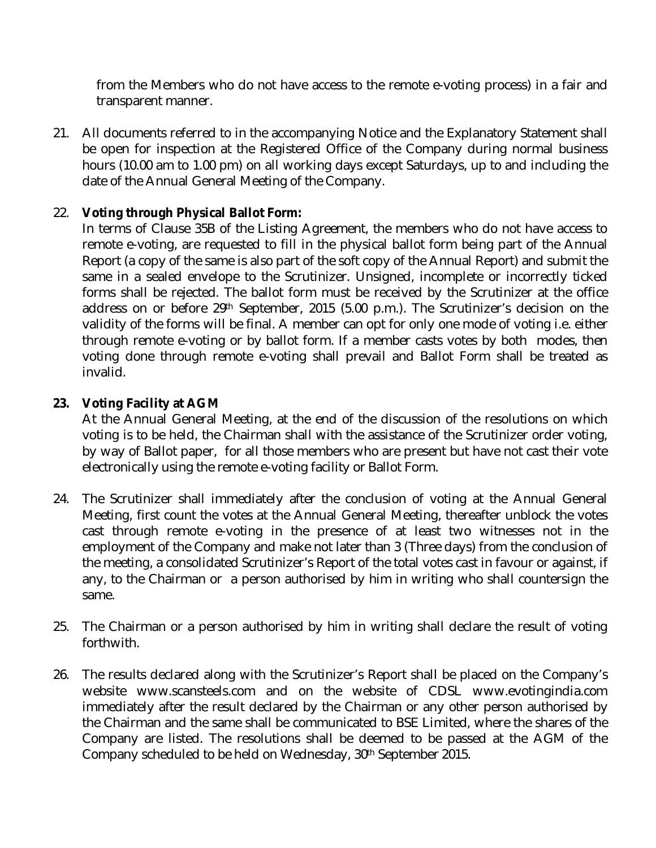from the Members who do not have access to the remote e-voting process) in a fair and transparent manner.

21. All documents referred to in the accompanying Notice and the Explanatory Statement shall be open for inspection at the Registered Office of the Company during normal business hours (10.00 am to 1.00 pm) on all working days except Saturdays, up to and including the date of the Annual General Meeting of the Company.

#### 22. **Voting through Physical Ballot Form:**

In terms of Clause 35B of the Listing Agreement, the members who do not have access to remote e-voting, are requested to fill in the physical ballot form being part of the Annual Report (a copy of the same is also part of the soft copy of the Annual Report) and submit the same in a sealed envelope to the Scrutinizer. Unsigned, incomplete or incorrectly ticked forms shall be rejected. The ballot form must be received by the Scrutinizer at the office address on or before 29<sup>th</sup> September, 2015 (5.00 p.m.). The Scrutinizer's decision on the validity of the forms will be final. A member can opt for only one mode of voting i.e. either through remote e-voting or by ballot form. If a member casts votes by both modes, then voting done through remote e-voting shall prevail and Ballot Form shall be treated as invalid.

#### **23. Voting Facility at AGM**

At the Annual General Meeting, at the end of the discussion of the resolutions on which voting is to be held, the Chairman shall with the assistance of the Scrutinizer order voting, by way of Ballot paper, for all those members who are present but have not cast their vote electronically using the remote e-voting facility or Ballot Form.

- 24. The Scrutinizer shall immediately after the conclusion of voting at the Annual General Meeting, first count the votes at the Annual General Meeting, thereafter unblock the votes cast through remote e-voting in the presence of at least two witnesses not in the employment of the Company and make not later than 3 (Three days) from the conclusion of the meeting, a consolidated Scrutinizer's Report of the total votes cast in favour or against, if any, to the Chairman or a person authorised by him in writing who shall countersign the same.
- 25. The Chairman or a person authorised by him in writing shall declare the result of voting forthwith.
- 26. The results declared along with the Scrutinizer's Report shall be placed on the Company's website www.scansteels.com and on the website of CDSL [www.evotingindia.com](http://www.evotingindia.com) immediately after the result declared by the Chairman or any other person authorised by the Chairman and the same shall be communicated to BSE Limited, where the shares of the Company are listed. The resolutions shall be deemed to be passed at the AGM of the Company scheduled to be held on Wednesday, 30<sup>th</sup> September 2015.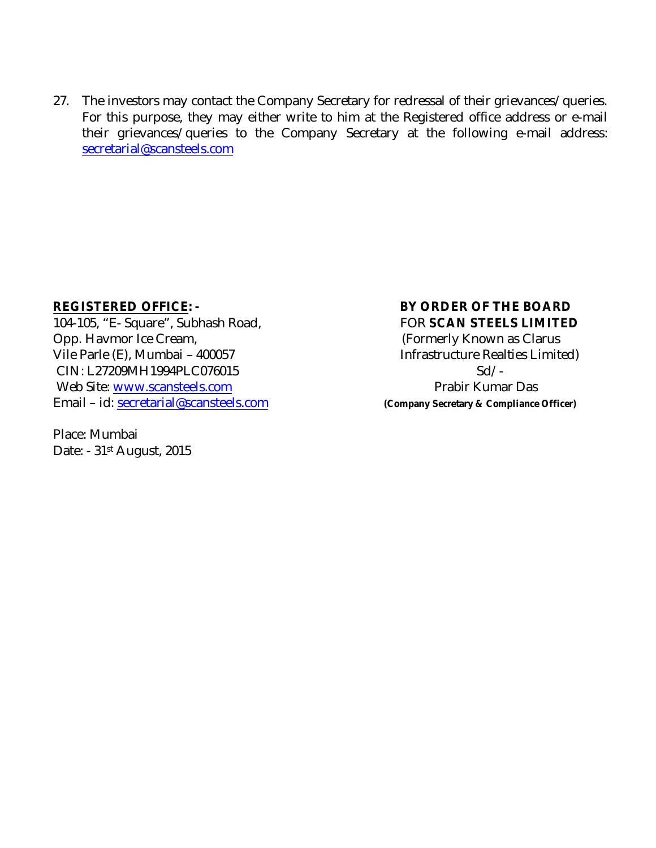27. The investors may contact the Company Secretary for redressal of their grievances/queries. For this purpose, they may either write to him at the Registered office address or e-mail their grievances/queries to the Company Secretary at the following e-mail address: [secretarial@scansteels.com](mailto:secretarial@scansteels.com)

104-105, "E- Square", Subhash Road, FOR **SCAN STEELS LIMITED** Opp. Havmor Ice Cream, The Community Community Known as Clarus Vile Parle (E), Mumbai – 400057 Infrastructure Realties Limited) CIN: L27209MH1994PLC076015 Sd/Web Site: [www.scansteels.com](http://www.scansteels.com) example and a property prabir Kumar Das Email – id: [secretarial@scansteels.com](mailto:secretarial@scansteels.com) **(Company Secretary & Compliance Officer)**

Place: Mumbai Date: - 31<sup>st</sup> August, 2015

## **REGISTERED OFFICE: - BY ORDER OF THE BOARD**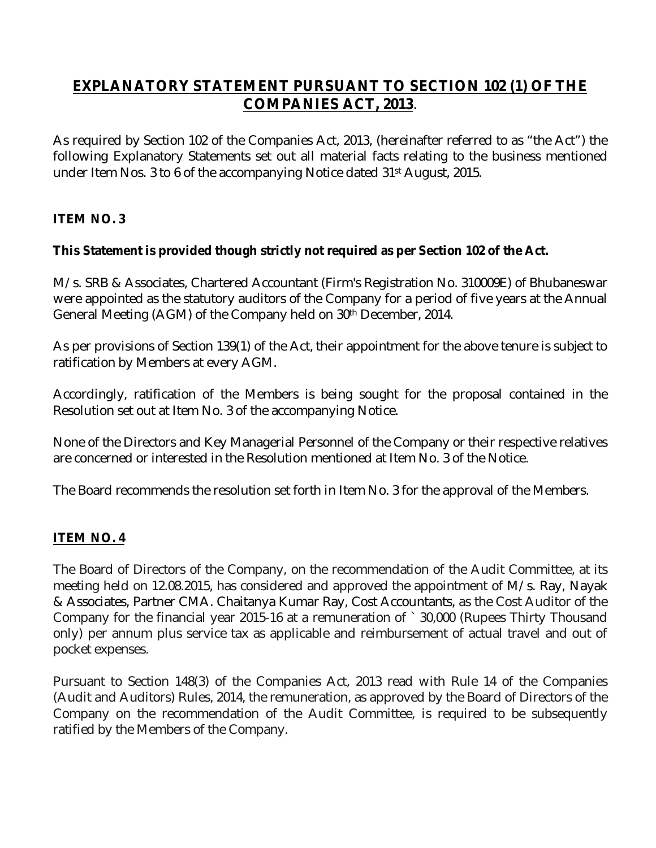### **EXPLANATORY STATEMENT PURSUANT TO SECTION 102 (1) OF THE COMPANIES ACT, 2013**.

As required by Section 102 of the Companies Act, 2013, (hereinafter referred to as "the Act") the following Explanatory Statements set out all material facts relating to the business mentioned under Item Nos. 3 to 6 of the accompanying Notice dated 31 st August, 2015.

#### **ITEM NO. 3**

#### **This Statement is provided though strictly not required as per Section 102 of the Act.**

M/s. SRB & Associates, Chartered Accountant (Firm's Registration No. 310009E) of Bhubaneswar were appointed as the statutory auditors of the Company for a period of five years at the Annual General Meeting (AGM) of the Company held on 30 th December, 2014.

As per provisions of Section 139(1) of the Act, their appointment for the above tenure is subject to ratification by Members at every AGM.

Accordingly, ratification of the Members is being sought for the proposal contained in the Resolution set out at Item No. 3 of the accompanying Notice.

None of the Directors and Key Managerial Personnel of the Company or their respective relatives are concerned or interested in the Resolution mentioned at Item No. 3 of the Notice.

The Board recommends the resolution set forth in Item No. 3 for the approval of the Members.

#### **ITEM NO. 4**

The Board of Directors of the Company, on the recommendation of the Audit Committee, at its meeting held on 12.08.2015, has considered and approved the appointment of M/s. Ray, Nayak & Associates, Partner CMA. Chaitanya Kumar Ray, Cost Accountants, as the Cost Auditor of the Company for the financial year 2015-16 at a remuneration of `30,000 (Rupees Thirty Thousand only) per annum plus service tax as applicable and reimbursement of actual travel and out of pocket expenses.

Pursuant to Section 148(3) of the Companies Act, 2013 read with Rule 14 of the Companies (Audit and Auditors) Rules, 2014, the remuneration, as approved by the Board of Directors of the Company on the recommendation of the Audit Committee, is required to be subsequently ratified by the Members of the Company.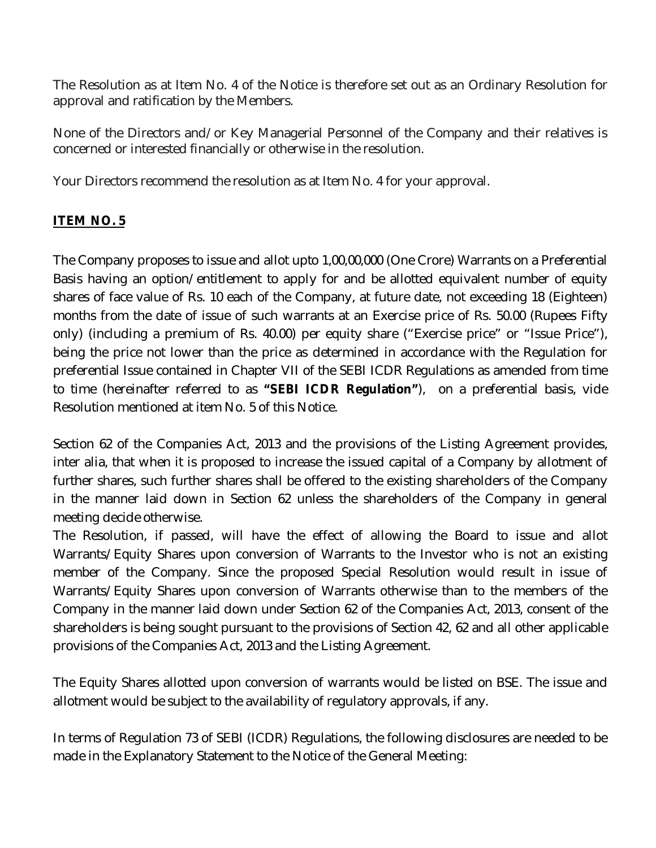The Resolution as at Item No. 4 of the Notice is therefore set out as an Ordinary Resolution for approval and ratification by the Members.

None of the Directors and/or Key Managerial Personnel of the Company and their relatives is concerned or interested financially or otherwise in the resolution.

Your Directors recommend the resolution as at Item No. 4 for your approval.

#### **ITEM NO. 5**

The Company proposes to issue and allot upto 1,00,00,000 (One Crore) Warrants on a Preferential Basis having an option/entitlement to apply for and be allotted equivalent number of equity shares of face value of Rs. 10 each of the Company, at future date, not exceeding 18 (Eighteen) months from the date of issue of such warrants at an Exercise price of Rs. 50.00 (Rupees Fifty only) (including a premium of Rs. 40.00) per equity share ("Exercise price" or "Issue Price"), being the price not lower than the price as determined in accordance with the Regulation for preferential Issue contained in Chapter VII of the SEBI ICDR Regulations as amended from time to time (hereinafter referred to as **"SEBI ICDR Regulation"**), on a preferential basis, vide Resolution mentioned at item No. 5 of this Notice.

Section 62 of the Companies Act, 2013 and the provisions of the Listing Agreement provides, inter alia, that when it is proposed to increase the issued capital of a Company by allotment of further shares, such further shares shall be offered to the existing shareholders of the Company in the manner laid down in Section 62 unless the shareholders of the Company in general meeting decide otherwise.

The Resolution, if passed, will have the effect of allowing the Board to issue and allot Warrants/Equity Shares upon conversion of Warrants to the Investor who is not an existing member of the Company. Since the proposed Special Resolution would result in issue of Warrants/Equity Shares upon conversion of Warrants otherwise than to the members of the Company in the manner laid down under Section 62 of the Companies Act, 2013, consent of the shareholders is being sought pursuant to the provisions of Section 42, 62 and all other applicable provisions of the Companies Act, 2013 and the Listing Agreement.

The Equity Shares allotted upon conversion of warrants would be listed on BSE. The issue and allotment would be subject to the availability of regulatory approvals, if any.

In terms of Regulation 73 of SEBI (ICDR) Regulations, the following disclosures are needed to be made in the Explanatory Statement to the Notice of the General Meeting: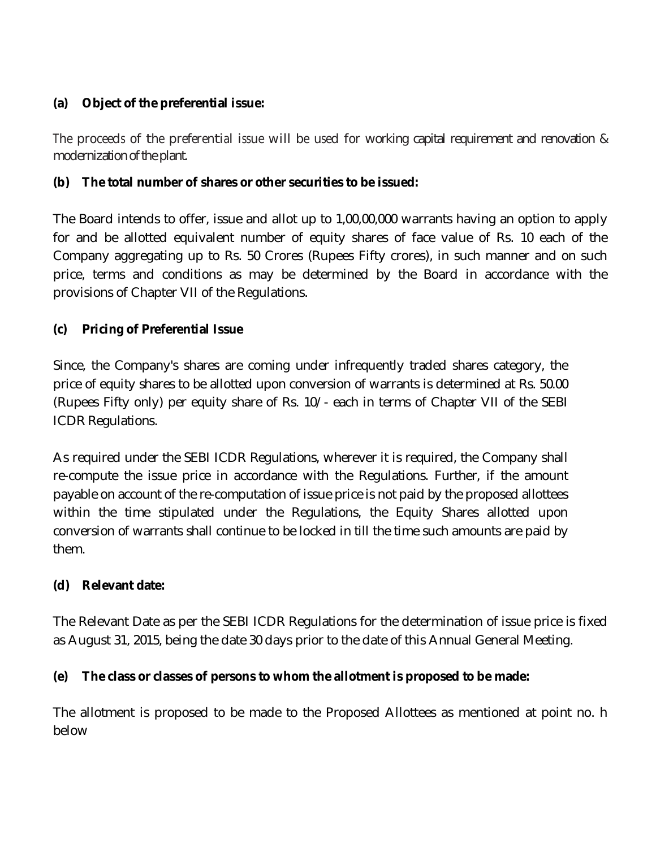#### **(a) Object of the preferential issue:**

The proceeds of the preferential issue will be used for working capital requirement and renovation & modernization of the plant.

#### **(b) The total number of shares or other securities to be issued:**

The Board intends to offer, issue and allot up to 1,00,00,000 warrants having an option to apply for and be allotted equivalent number of equity shares of face value of Rs. 10 each of the Company aggregating up to Rs. 50 Crores (Rupees Fifty crores), in such manner and on such price, terms and conditions as may be determined by the Board in accordance with the provisions of Chapter VII of the Regulations.

### **(c) Pricing of Preferential Issue**

Since, the Company's shares are coming under infrequently traded shares category, the price of equity shares to be allotted upon conversion of warrants is determined at Rs. 50.00 (Rupees Fifty only) per equity share of Rs. 10/- each in terms of Chapter VII of the SEBI ICDR Regulations.

As required under the SEBI ICDR Regulations, wherever it is required, the Company shall re-compute the issue price in accordance with the Regulations. Further, if the amount payable on account of the re-computation of issue price is not paid by the proposed allottees within the time stipulated under the Regulations, the Equity Shares allotted upon conversion of warrants shall continue to be locked in till the time such amounts are paid by them.

### **(d) Relevant date:**

The Relevant Date as per the SEBI ICDR Regulations for the determination of issue price is fixed as August 31, 2015, being the date 30 days prior to the date of this Annual General Meeting.

#### **(e) The class or classes of persons to whom the allotment is proposed to be made:**

The allotment is proposed to be made to the Proposed Allottees as mentioned at point no. h below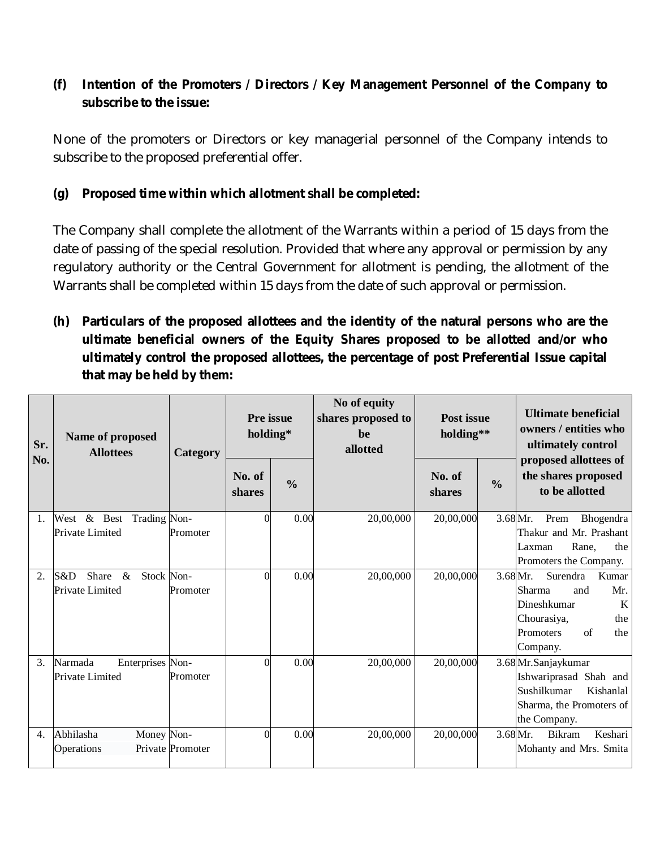#### **(f) Intention of the Promoters / Directors / Key Management Personnel of the Company to subscribe to the issue:**

None of the promoters or Directors or key managerial personnel of the Company intends to subscribe to the proposed preferential offer.

#### **(g) Proposed time within which allotment shall be completed:**

The Company shall complete the allotment of the Warrants within a period of 15 days from the date of passing of the special resolution. Provided that where any approval or permission by any regulatory authority or the Central Government for allotment is pending, the allotment of the Warrants shall be completed within 15 days from the date of such approval or permission.

**(h) Particulars of the proposed allottees and the identity of the natural persons who are the ultimate beneficial owners of the Equity Shares proposed to be allotted and/or who ultimately control the proposed allottees, the percentage of post Preferential Issue capital that may be held by them:**

| Sr.<br>No. | Name of proposed<br><b>Allottees</b>                  | Category         | <b>Pre</b> issue<br>holding* |               | No of equity<br>shares proposed to<br>be<br>allotted | <b>Post issue</b><br>holding** |               | <b>Ultimate beneficial</b><br>owners / entities who<br>ultimately control<br>proposed allottees of                        |  |
|------------|-------------------------------------------------------|------------------|------------------------------|---------------|------------------------------------------------------|--------------------------------|---------------|---------------------------------------------------------------------------------------------------------------------------|--|
|            |                                                       |                  | No. of<br>shares             | $\frac{0}{0}$ |                                                      | No. of<br>shares               | $\frac{0}{0}$ | the shares proposed<br>to be allotted                                                                                     |  |
| 1.         | West & Best<br>Trading Non-<br>Private Limited        | Promoter         | $\Omega$                     | 0.00          | 20,00,000                                            | 20,00,000                      | 3.68 Mr.      | Prem<br><b>Bhogendra</b><br>Thakur and Mr. Prashant<br>Rane,<br>Laxman<br>the<br>Promoters the Company.                   |  |
| 2.         | Share<br>$\&$<br>Stock Non-<br>S&D<br>Private Limited | Promoter         | $\Omega$                     | 0.00          | 20,00,000                                            | 20,00,000                      | 3.68 Mr.      | Surendra<br>Kumar<br>Sharma<br>Mr.<br>and<br>Dineshkumar<br>K<br>Chourasiya,<br>the<br>Promoters<br>of<br>the<br>Company. |  |
| 3.         | Narmada<br>Enterprises Non-<br>Private Limited        | Promoter         | $\Omega$                     | 0.00          | 20,00,000                                            | 20,00,000                      |               | 3.68 Mr. Sanjaykumar<br>Ishwariprasad Shah and<br>Sushilkumar<br>Kishanlal<br>Sharma, the Promoters of<br>the Company.    |  |
| 4.         | Abhilasha<br>Money Non-<br>Operations                 | Private Promoter | $\Omega$                     | 0.00          | 20,00,000                                            | 20,00,000                      | 3.68 Mr.      | Keshari<br><b>Bikram</b><br>Mohanty and Mrs. Smita                                                                        |  |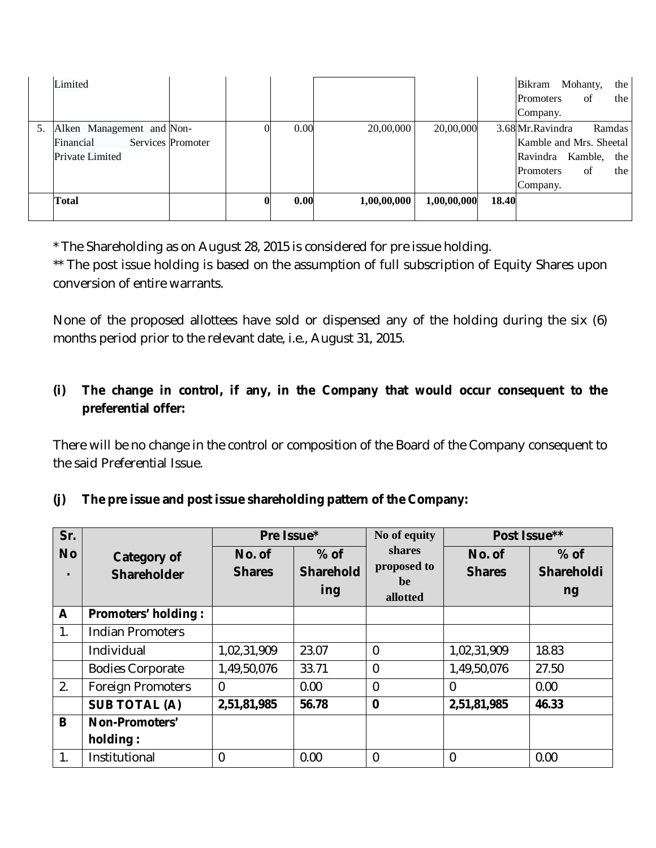|    | Limited                                                   |                   |      |             |             |       | Bikram<br><b>Promoters</b><br>Company.                                                    | Mohanty,<br>of | the<br>the           |
|----|-----------------------------------------------------------|-------------------|------|-------------|-------------|-------|-------------------------------------------------------------------------------------------|----------------|----------------------|
| 5. | Alken Management and Non-<br>Financial<br>Private Limited | Services Promoter | 0.00 | 20,00,000   | 20,00,000   |       | 3.68 Mr. Ravindra<br>Kamble and Mrs. Sheetal<br>Ravindra Kamble,<br>Promoters<br>Company. | of             | Ramdas<br>the<br>the |
|    | <b>Total</b>                                              |                   | 0.00 | 1,00,00,000 | 1,00,00,000 | 18.40 |                                                                                           |                |                      |

\* The Shareholding as on August 28, 2015 is considered for pre issue holding.

\*\* The post issue holding is based on the assumption of full subscription of Equity Shares upon conversion of entire warrants.

None of the proposed allottees have sold or dispensed any of the holding during the six (6) months period prior to the relevant date, i.e., August 31, 2015.

### **(i) The change in control, if any, in the Company that would occur consequent to the preferential offer:**

There will be no change in the control or composition of the Board of the Company consequent to the said Preferential Issue.

#### **(j) The pre issue and post issue shareholding pattern of the Company:**

| Sr.       |                            | Pre Issue*     |                  | No of equity   | Post Issue**  |                   |
|-----------|----------------------------|----------------|------------------|----------------|---------------|-------------------|
| <b>No</b> | <b>Category of</b>         | No. of         | $%$ of           | <b>shares</b>  | No. of        | $%$ of            |
|           | <b>Shareholder</b>         | <b>Shares</b>  | <b>Sharehold</b> | proposed to    | <b>Shares</b> | <b>Shareholdi</b> |
|           |                            |                | ing              | be<br>allotted |               | ng                |
| A         | <b>Promoters' holding:</b> |                |                  |                |               |                   |
| 1.        | <b>Indian Promoters</b>    |                |                  |                |               |                   |
|           | Individual                 | 1,02,31,909    | 23.07            | $\overline{0}$ | 1,02,31,909   | 18.83             |
|           | <b>Bodies Corporate</b>    | 1,49,50,076    | 33.71            | 0              | 1,49,50,076   | 27.50             |
| 2.        | <b>Foreign Promoters</b>   | $\overline{0}$ | 0.00             | $\Omega$       | $\Omega$      | 0.00              |
|           | <b>SUB TOTAL (A)</b>       | 2,51,81,985    | 56.78            | $\bf{0}$       | 2,51,81,985   | 46.33             |
| B         | Non-Promoters'             |                |                  |                |               |                   |
|           | holding:                   |                |                  |                |               |                   |
| 1.        | Institutional              | $\mathbf 0$    | 0.00             | 0              | 0             | 0.00              |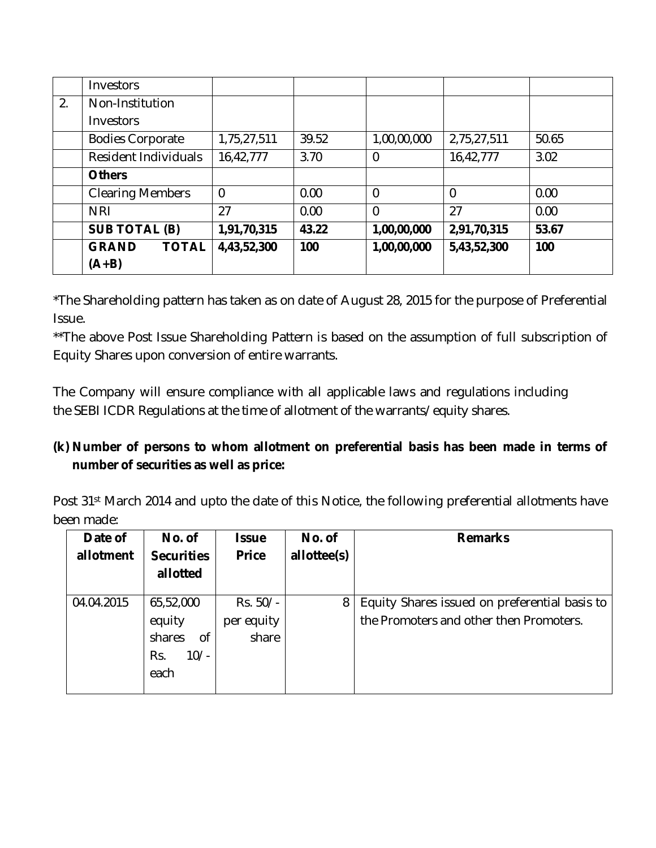|    | Investors                    |                |       |                |             |       |
|----|------------------------------|----------------|-------|----------------|-------------|-------|
| 2. | Non-Institution              |                |       |                |             |       |
|    | Investors                    |                |       |                |             |       |
|    | <b>Bodies Corporate</b>      | 1,75,27,511    | 39.52 | 1,00,00,000    | 2,75,27,511 | 50.65 |
|    | Resident Individuals         | 16,42,777      | 3.70  | 0              | 16,42,777   | 3.02  |
|    | <b>Others</b>                |                |       |                |             |       |
|    | <b>Clearing Members</b>      | $\overline{0}$ | 0.00  | $\overline{0}$ | 0           | 0.00  |
|    | <b>NRI</b>                   | 27             | 0.00  | 0              | 27          | 0.00  |
|    | <b>SUB TOTAL (B)</b>         | 1,91,70,315    | 43.22 | 1,00,00,000    | 2,91,70,315 | 53.67 |
|    | <b>GRAND</b><br><b>TOTAL</b> | 4,43,52,300    | 100   | 1,00,00,000    | 5,43,52,300 | 100   |
|    | $(A+B)$                      |                |       |                |             |       |

\*The Shareholding pattern has taken as on date of August 28, 2015 for the purpose of Preferential Issue.

\*\*The above Post Issue Shareholding Pattern is based on the assumption of full subscription of Equity Shares upon conversion of entire warrants.

The Company will ensure compliance with all applicable laws and regulations including the SEBI ICDR Regulations at the time of allotment of the warrants/equity shares.

### **(k) Number of persons to whom allotment on preferential basis has been made in terms of number of securities as well as price:**

Post 31<sup>st</sup> March 2014 and upto the date of this Notice, the following preferential allotments have been made:

| Date of    | No. of            | <b>Issue</b> | No. of      | <b>Remarks</b>                                |
|------------|-------------------|--------------|-------------|-----------------------------------------------|
| allotment  | <b>Securities</b> | <b>Price</b> | allottee(s) |                                               |
|            | allotted          |              |             |                                               |
|            |                   |              |             |                                               |
| 04.04.2015 | 65,52,000         | $Rs. 50/-$   | 8           | Equity Shares issued on preferential basis to |
|            | equity            | per equity   |             | the Promoters and other then Promoters.       |
|            | shares<br>Οf      | share        |             |                                               |
|            | $10/-$<br>Rs.     |              |             |                                               |
|            | each              |              |             |                                               |
|            |                   |              |             |                                               |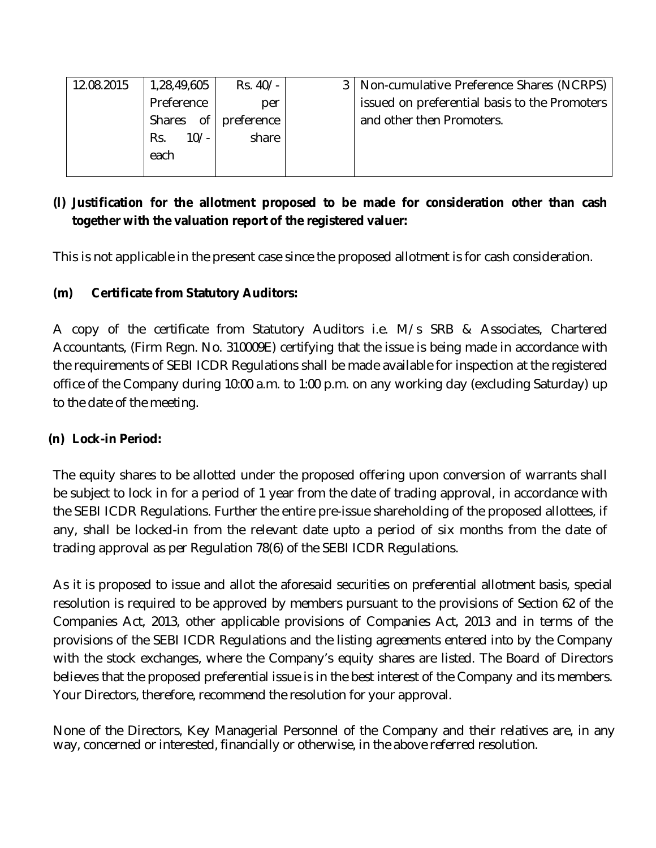| 12.08.2015 | 1,28,49,605   | Rs. 40/-   | 3   Non-cumulative Preference Shares (NCRPS)  |
|------------|---------------|------------|-----------------------------------------------|
|            | Preference    | per        | issued on preferential basis to the Promoters |
|            | 0f<br>Shares  | preference | and other then Promoters.                     |
|            | $10/-$<br>Rs. | share      |                                               |
|            | each          |            |                                               |
|            |               |            |                                               |

#### **(l) Justification for the allotment proposed to be made for consideration other than cash together with the valuation report of the registered valuer:**

This is not applicable in the present case since the proposed allotment is for cash consideration.

#### **(m) Certificate from Statutory Auditors:**

A copy of the certificate from Statutory Auditors i.e. M/s SRB & Associates, Chartered Accountants, (Firm Regn. No. 310009E) certifying that the issue is being made in accordance with the requirements of SEBI ICDR Regulations shall be made available for inspection at the registered office of the Company during 10:00 a.m. to 1:00 p.m. on any working day (excluding Saturday) up to the date of the meeting.

#### **(n) Lock-in Period:**

The equity shares to be allotted under the proposed offering upon conversion of warrants shall be subject to lock in for a period of 1 year from the date of trading approval, in accordance with the SEBI ICDR Regulations. Further the entire pre-issue shareholding of the proposed allottees, if any, shall be locked-in from the relevant date upto a period of six months from the date of trading approval as per Regulation 78(6) of the SEBI ICDR Regulations.

As it is proposed to issue and allot the aforesaid securities on preferential allotment basis, special resolution is required to be approved by members pursuant to the provisions of Section 62 of the Companies Act, 2013, other applicable provisions of Companies Act, 2013 and in terms of the provisions of the SEBI ICDR Regulations and the listing agreements entered into by the Company with the stock exchanges, where the Company's equity shares are listed. The Board of Directors believes that the proposed preferential issue is in the best interest of the Company and its members. Your Directors, therefore, recommend the resolution for your approval.

None of the Directors, Key Managerial Personnel of the Company and their relatives are, in any way, concerned or interested, financially or otherwise, in the above referred resolution.